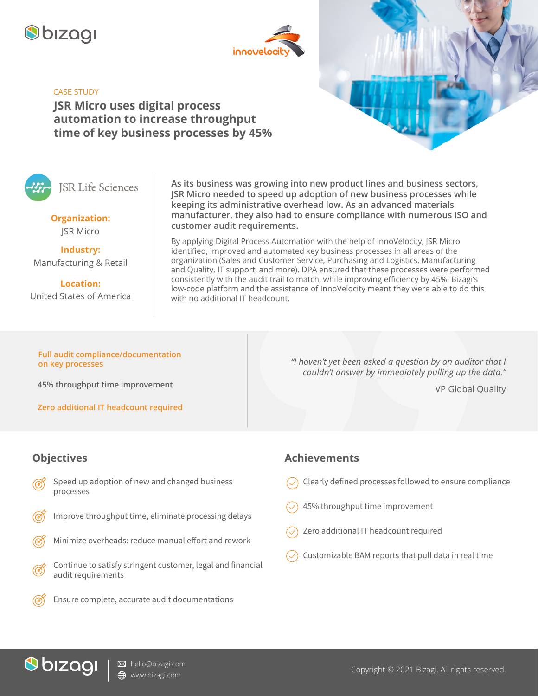



## CASE STUDY

**JSR Micro uses digital process automation to increase throughput time of key business processes by 45%**

**ISR Life Sciences** 

**Organization:** JSR Micro

**Industry:** Manufacturing & Retail

**Location:** United States of America

**As its business was growing into new product lines and business sectors, JSR Micro needed to speed up adoption of new business processes while keeping its administrative overhead low. As an advanced materials manufacturer, they also had to ensure compliance with numerous ISO and customer audit requirements.**

By applying Digital Process Automation with the help of InnoVelocity, JSR Micro identified, improved and automated key business processes in all areas of the organization (Sales and Customer Service, Purchasing and Logistics, Manufacturing and Quality, IT support, and more). DPA ensured that these processes were performed consistently with the audit trail to match, while improving efficiency by 45%. Bizagi's low-code platform and the assistance of InnoVelocity meant they were able to do this with no additional IT headcount.

**Full audit compliance/documentation on key processes**

**45% throughput time improvement**

**Zero additional IT headcount required**

*"I haven't yet been asked a question by an auditor that I couldn't answer by immediately pulling up the data."*

VP Global Quality

## **Objectives**

- Speed up adoption of new and changed business processes
- Improve throughput time, eliminate processing delays
- Minimize overheads: reduce manual effort and rework
- Continue to satisfy stringent customer, legal and financial audit requirements
	- Ensure complete, accurate audit documentations

## **Achievements**

- Clearly defined processes followed to ensure compliance
- 45% throughput time improvement
- Zero additional IT headcount required
- Customizable BAM reports that pull data in real time